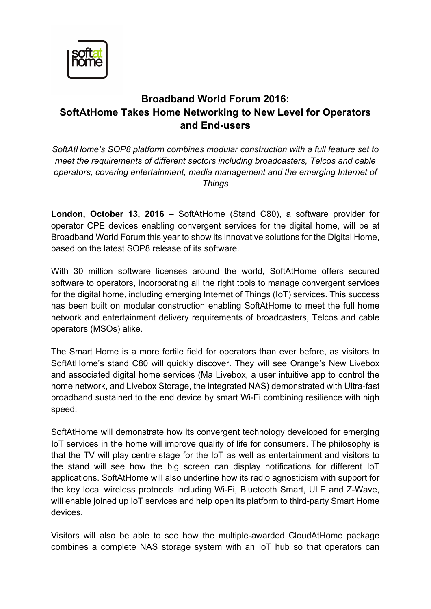

## **Broadband World Forum 2016: SoftAtHome Takes Home Networking to New Level for Operators and End-users**

*SoftAtHome's SOP8 platform combines modular construction with a full feature set to meet the requirements of different sectors including broadcasters, Telcos and cable operators, covering entertainment, media management and the emerging Internet of Things*

**London, October 13, 2016 –** SoftAtHome (Stand C80), a software provider for operator CPE devices enabling convergent services for the digital home, will be at Broadband World Forum this year to show its innovative solutions for the Digital Home, based on the latest SOP8 release of its software.

With 30 million software licenses around the world, SoftAtHome offers secured software to operators, incorporating all the right tools to manage convergent services for the digital home, including emerging Internet of Things (IoT) services. This success has been built on modular construction enabling SoftAtHome to meet the full home network and entertainment delivery requirements of broadcasters, Telcos and cable operators (MSOs) alike.

The Smart Home is a more fertile field for operators than ever before, as visitors to SoftAtHome's stand C80 will quickly discover. They will see Orange's New Livebox and associated digital home services (Ma Livebox, a user intuitive app to control the home network, and Livebox Storage, the integrated NAS) demonstrated with Ultra-fast broadband sustained to the end device by smart Wi-Fi combining resilience with high speed.

SoftAtHome will demonstrate how its convergent technology developed for emerging IoT services in the home will improve quality of life for consumers. The philosophy is that the TV will play centre stage for the IoT as well as entertainment and visitors to the stand will see how the big screen can display notifications for different IoT applications. SoftAtHome will also underline how its radio agnosticism with support for the key local wireless protocols including Wi-Fi, Bluetooth Smart, ULE and Z-Wave, will enable joined up IoT services and help open its platform to third-party Smart Home devices.

Visitors will also be able to see how the multiple-awarded CloudAtHome package combines a complete NAS storage system with an IoT hub so that operators can